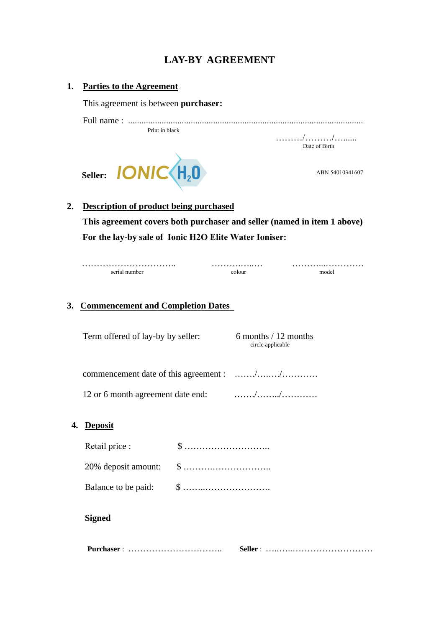## **LAY-BY AGREEMENT**

### **1. Parties to the Agreement**

This agreement is between **purchaser:**

Full name : ......................................................................................................... Print in black

………/………/…...... Date of Birth



# **2. Description of product being purchased This agreement covers both purchaser and seller (named in item 1 above)**

**For the lay-by sale of Ionic H2O Elite Water Ioniser:**

………………………….. ……….…..… ………...…………. serial number

### **3. Commencement and Completion Dates**

 Term offered of lay-by by seller: 6 months / 12 months circle applicable

commencement date of this agreement : ……./….…./…………

12 or 6 month agreement date end: ……./……../…………

### **4. Deposit**

| Retail price : |  |
|----------------|--|
|                |  |
|                |  |

### **Signed**

 **Purchaser** : ………………………….. **Seller** : …..…..………………………